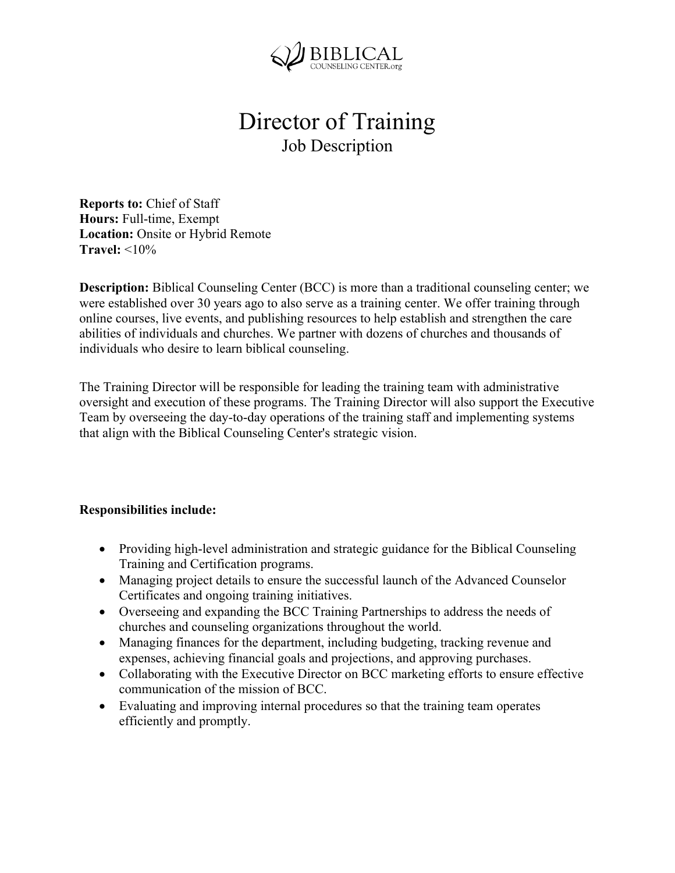

## Director of Training Job Description

**Reports to:** Chief of Staff **Hours:** Full-time, Exempt **Location:** Onsite or Hybrid Remote **Travel:** <10%

**Description:** Biblical Counseling Center (BCC) is more than a traditional counseling center; we were established over 30 years ago to also serve as a training center. We offer training through online courses, live events, and publishing resources to help establish and strengthen the care abilities of individuals and churches. We partner with dozens of churches and thousands of individuals who desire to learn biblical counseling.

The Training Director will be responsible for leading the training team with administrative oversight and execution of these programs. The Training Director will also support the Executive Team by overseeing the day-to-day operations of the training staff and implementing systems that align with the Biblical Counseling Center's strategic vision.

## **Responsibilities include:**

- Providing high-level administration and strategic guidance for the Biblical Counseling Training and Certification programs.
- Managing project details to ensure the successful launch of the Advanced Counselor Certificates and ongoing training initiatives.
- Overseeing and expanding the BCC Training Partnerships to address the needs of churches and counseling organizations throughout the world.
- Managing finances for the department, including budgeting, tracking revenue and expenses, achieving financial goals and projections, and approving purchases.
- Collaborating with the Executive Director on BCC marketing efforts to ensure effective communication of the mission of BCC.
- Evaluating and improving internal procedures so that the training team operates efficiently and promptly.